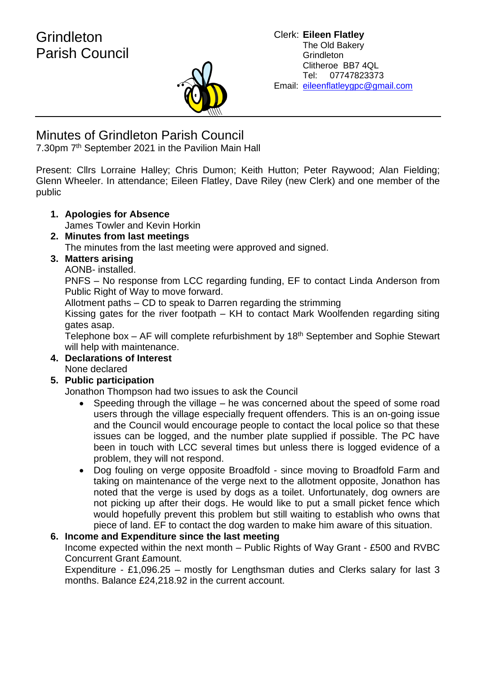

# Minutes of Grindleton Parish Council

7.30pm 7<sup>th</sup> September 2021 in the Pavilion Main Hall

Present: Cllrs Lorraine Halley; Chris Dumon; Keith Hutton; Peter Raywood; Alan Fielding; Glenn Wheeler. In attendance; Eileen Flatley, Dave Riley (new Clerk) and one member of the public

- **1. Apologies for Absence** James Towler and Kevin Horkin
- **2. Minutes from last meetings** The minutes from the last meeting were approved and signed.

# **3. Matters arising**

AONB- installed.

PNFS – No response from LCC regarding funding, EF to contact Linda Anderson from Public Right of Way to move forward.

Allotment paths – CD to speak to Darren regarding the strimming

Kissing gates for the river footpath – KH to contact Mark Woolfenden regarding siting gates asap.

Telephone box  $-$  AF will complete refurbishment by 18<sup>th</sup> September and Sophie Stewart will help with maintenance.

**4. Declarations of Interest** None declared

# **5. Public participation**

Jonathon Thompson had two issues to ask the Council

- Speeding through the village he was concerned about the speed of some road users through the village especially frequent offenders. This is an on-going issue and the Council would encourage people to contact the local police so that these issues can be logged, and the number plate supplied if possible. The PC have been in touch with LCC several times but unless there is logged evidence of a problem, they will not respond.
- Dog fouling on verge opposite Broadfold since moving to Broadfold Farm and taking on maintenance of the verge next to the allotment opposite, Jonathon has noted that the verge is used by dogs as a toilet. Unfortunately, dog owners are not picking up after their dogs. He would like to put a small picket fence which would hopefully prevent this problem but still waiting to establish who owns that piece of land. EF to contact the dog warden to make him aware of this situation.

# **6. Income and Expenditure since the last meeting**

Income expected within the next month – Public Rights of Way Grant - £500 and RVBC Concurrent Grant £amount.

Expenditure - £1,096.25 – mostly for Lengthsman duties and Clerks salary for last 3 months. Balance £24,218.92 in the current account.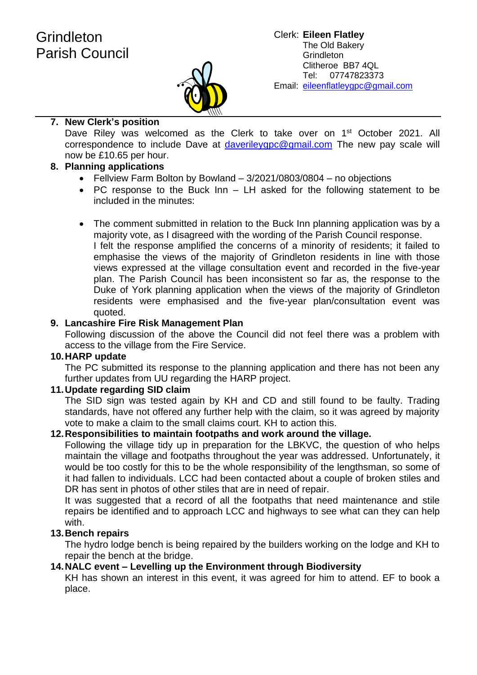

# **7. New Clerk's position**

Dave Riley was welcomed as the Clerk to take over on 1<sup>st</sup> October 2021. All correspondence to include Dave at [daverileygpc@gmail.com](mailto:daverileygpc@gmail.com) The new pay scale will now be £10.65 per hour.

# **8. Planning applications**

- Fellview Farm Bolton by Bowland 3/2021/0803/0804 no objections
- PC response to the Buck Inn LH asked for the following statement to be included in the minutes:
- The comment submitted in relation to the Buck Inn planning application was by a majority vote, as I disagreed with the wording of the Parish Council response. I felt the response amplified the concerns of a minority of residents; it failed to emphasise the views of the majority of Grindleton residents in line with those views expressed at the village consultation event and recorded in the five-year plan. The Parish Council has been inconsistent so far as, the response to the Duke of York planning application when the views of the majority of Grindleton residents were emphasised and the five-year plan/consultation event was quoted.

# **9. Lancashire Fire Risk Management Plan**

Following discussion of the above the Council did not feel there was a problem with access to the village from the Fire Service.

## **10.HARP update**

The PC submitted its response to the planning application and there has not been any further updates from UU regarding the HARP project.

## **11.Update regarding SID claim**

The SID sign was tested again by KH and CD and still found to be faulty. Trading standards, have not offered any further help with the claim, so it was agreed by majority vote to make a claim to the small claims court. KH to action this.

## **12.Responsibilities to maintain footpaths and work around the village.**

Following the village tidy up in preparation for the LBKVC, the question of who helps maintain the village and footpaths throughout the year was addressed. Unfortunately, it would be too costly for this to be the whole responsibility of the lengthsman, so some of it had fallen to individuals. LCC had been contacted about a couple of broken stiles and DR has sent in photos of other stiles that are in need of repair.

It was suggested that a record of all the footpaths that need maintenance and stile repairs be identified and to approach LCC and highways to see what can they can help with.

# **13.Bench repairs**

The hydro lodge bench is being repaired by the builders working on the lodge and KH to repair the bench at the bridge.

# **14.NALC event – Levelling up the Environment through Biodiversity**

KH has shown an interest in this event, it was agreed for him to attend. EF to book a place.